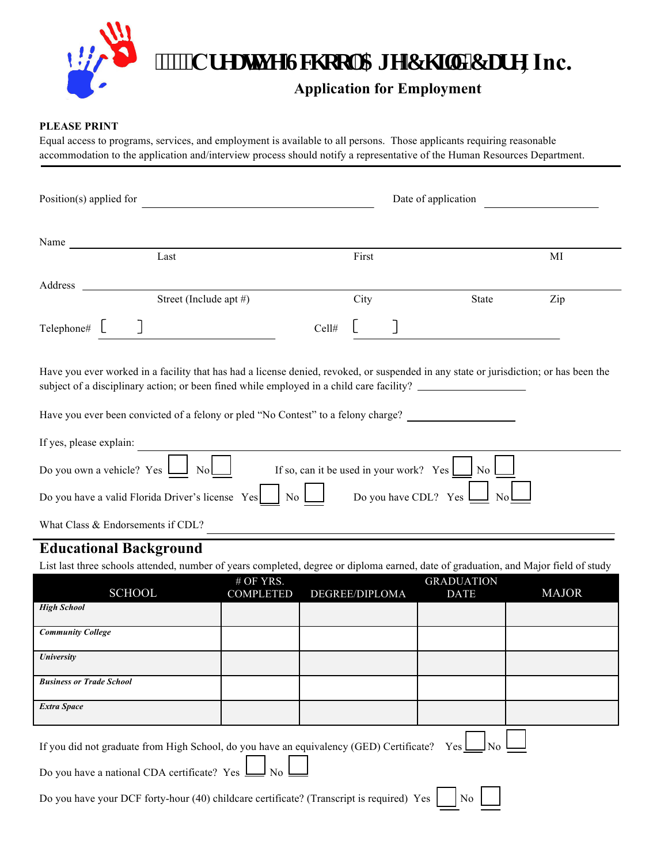# **WEIGERERY CONSERVIES GET UP:** THE CHOCKLOGERY CONSERVIES THE CHOCKLOGERY CONSERVIES INC.

## **Application for Employment**

#### **PLEASE PRINT**

Equal access to programs, services, and employment is available to all persons. Those applicants requiring reasonable accommodation to the application and/interview process should notify a representative of the Human Resources Department.

| Position(s) applied for                                                                                                                                                                                                                                                                                                |                               |                | Date of application |                                  |              |  |
|------------------------------------------------------------------------------------------------------------------------------------------------------------------------------------------------------------------------------------------------------------------------------------------------------------------------|-------------------------------|----------------|---------------------|----------------------------------|--------------|--|
|                                                                                                                                                                                                                                                                                                                        |                               |                |                     |                                  |              |  |
| Name                                                                                                                                                                                                                                                                                                                   |                               |                |                     |                                  |              |  |
| Last                                                                                                                                                                                                                                                                                                                   |                               | First          |                     |                                  | MI           |  |
|                                                                                                                                                                                                                                                                                                                        |                               |                |                     |                                  |              |  |
| Street (Include apt #)                                                                                                                                                                                                                                                                                                 |                               | City           |                     | State                            | Zip          |  |
| $\text{Telephone}\#$ $\Box$                                                                                                                                                                                                                                                                                            |                               | Cell#          |                     |                                  |              |  |
| Have you ever worked in a facility that has had a license denied, revoked, or suspended in any state or jurisdiction; or has been the<br>subject of a disciplinary action; or been fined while employed in a child care facility?<br>Have you ever been convicted of a felony or pled "No Contest" to a felony charge? |                               |                |                     |                                  |              |  |
| If yes, please explain: $\overline{\qquad \qquad }$<br>Do you own a vehicle? $Yes$ $\boxed{\phantom{1}}$ No $\boxed{\phantom{1}}$<br>If so, can it be used in your work? Yes $\Box$ No $\Box$                                                                                                                          |                               |                |                     |                                  |              |  |
| Do you have CDL? Yes $\Box$<br>Do you have a valid Florida Driver's license Yes     No                                                                                                                                                                                                                                 |                               |                |                     |                                  |              |  |
| What Class & Endorsements if CDL?                                                                                                                                                                                                                                                                                      |                               |                |                     |                                  |              |  |
| <b>Educational Background</b>                                                                                                                                                                                                                                                                                          |                               |                |                     |                                  |              |  |
| List last three schools attended, number of years completed, degree or diploma earned, date of graduation, and Major field of study                                                                                                                                                                                    |                               |                |                     |                                  |              |  |
| <b>SCHOOL</b>                                                                                                                                                                                                                                                                                                          | # OF YRS.<br><b>COMPLETED</b> | DEGREE/DIPLOMA |                     | <b>GRADUATION</b><br><b>DATE</b> | <b>MAJOR</b> |  |
| <b>High School</b>                                                                                                                                                                                                                                                                                                     |                               |                |                     |                                  |              |  |
| <b>Community College</b>                                                                                                                                                                                                                                                                                               |                               |                |                     |                                  |              |  |
| <b>University</b>                                                                                                                                                                                                                                                                                                      |                               |                |                     |                                  |              |  |
| <b>Business or Trade School</b>                                                                                                                                                                                                                                                                                        |                               |                |                     |                                  |              |  |
| <b>Extra Space</b>                                                                                                                                                                                                                                                                                                     |                               |                |                     |                                  |              |  |

If you did not graduate from High School, do you have an equivalency (GED) Certificate? Yes  $\Box$  No

Do you have a national CDA certificate? Yes  $\Box$  No

Do you have your DCF forty-hour (40) childcare certificate? (Transcript is required) Yes  $\Box$  No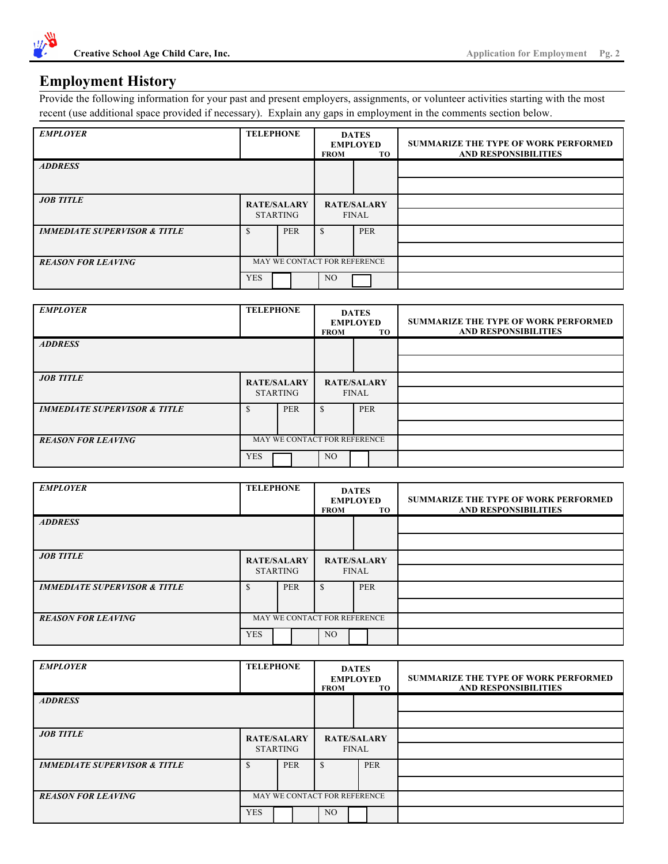

### **Employment History**

Provide the following information for your past and present employers, assignments, or volunteer activities starting with the most recent (use additional space provided if necessary). Explain any gaps in employment in the comments section below.

| <b>EMPLOYER</b>                         | <b>TELEPHONE</b>                      |            | <b>DATES</b><br><b>EMPLOYED</b><br><b>FROM</b><br>TO |     | <b>SUMMARIZE THE TYPE OF WORK PERFORMED</b><br><b>AND RESPONSIBILITIES</b> |
|-----------------------------------------|---------------------------------------|------------|------------------------------------------------------|-----|----------------------------------------------------------------------------|
| <b>ADDRESS</b>                          |                                       |            |                                                      |     |                                                                            |
|                                         |                                       |            |                                                      |     |                                                                            |
| <b>JOB TITLE</b>                        | <b>RATE/SALARY</b><br><b>STARTING</b> |            | <b>RATE/SALARY</b><br><b>FINAL</b>                   |     |                                                                            |
|                                         |                                       |            |                                                      |     |                                                                            |
| <b>IMMEDIATE SUPERVISOR &amp; TITLE</b> |                                       | <b>PER</b> | <sup>\$</sup>                                        | PER |                                                                            |
|                                         |                                       |            |                                                      |     |                                                                            |
| <b>REASON FOR LEAVING</b>               |                                       |            | MAY WE CONTACT FOR REFERENCE                         |     |                                                                            |
|                                         | <b>YES</b>                            |            | NO.                                                  |     |                                                                            |

| <b>EMPLOYER</b>                         | <b>TELEPHONE</b>   |                              | <b>DATES</b><br><b>EMPLOYED</b><br><b>FROM</b><br>TO |  | <b>SUMMARIZE THE TYPE OF WORK PERFORMED</b><br><b>AND RESPONSIBILITIES</b> |
|-----------------------------------------|--------------------|------------------------------|------------------------------------------------------|--|----------------------------------------------------------------------------|
| <b>ADDRESS</b>                          |                    |                              |                                                      |  |                                                                            |
|                                         |                    |                              |                                                      |  |                                                                            |
| <b>JOB TITLE</b>                        | <b>RATE/SALARY</b> |                              | <b>RATE/SALARY</b>                                   |  |                                                                            |
|                                         | <b>STARTING</b>    |                              | <b>FINAL</b>                                         |  |                                                                            |
| <b>IMMEDIATE SUPERVISOR &amp; TITLE</b> |                    | <b>PER</b>                   | PER                                                  |  |                                                                            |
|                                         |                    |                              |                                                      |  |                                                                            |
| <b>REASON FOR LEAVING</b>               |                    | MAY WE CONTACT FOR REFERENCE |                                                      |  |                                                                            |
|                                         | <b>YES</b>         |                              | NO.                                                  |  |                                                                            |

| <b>EMPLOYER</b>                         | <b>TELEPHONE</b>                      |            | <b>DATES</b><br><b>EMPLOYED</b><br><b>FROM</b><br>TO. |            | <b>SUMMARIZE THE TYPE OF WORK PERFORMED</b><br><b>AND RESPONSIBILITIES</b> |
|-----------------------------------------|---------------------------------------|------------|-------------------------------------------------------|------------|----------------------------------------------------------------------------|
| <b>ADDRESS</b>                          |                                       |            |                                                       |            |                                                                            |
|                                         |                                       |            |                                                       |            |                                                                            |
| <b>JOB TITLE</b>                        | <b>RATE/SALARY</b><br><b>STARTING</b> |            | <b>RATE/SALARY</b><br>FINAL                           |            |                                                                            |
|                                         |                                       |            |                                                       |            |                                                                            |
| <b>IMMEDIATE SUPERVISOR &amp; TITLE</b> |                                       | <b>PER</b> | <sup>\$</sup>                                         | <b>PER</b> |                                                                            |
|                                         |                                       |            |                                                       |            |                                                                            |
| <b>REASON FOR LEAVING</b>               |                                       |            | MAY WE CONTACT FOR REFERENCE                          |            |                                                                            |
|                                         | <b>YES</b>                            |            | NO.                                                   |            |                                                                            |

| <b>EMPLOYER</b>                         | <b>TELEPHONE</b>                      |                              | <b>DATES</b><br><b>EMPLOYED</b><br><b>FROM</b><br>TO |  |            | <b>SUMMARIZE THE TYPE OF WORK PERFORMED</b><br><b>AND RESPONSIBILITIES</b> |
|-----------------------------------------|---------------------------------------|------------------------------|------------------------------------------------------|--|------------|----------------------------------------------------------------------------|
| <b>ADDRESS</b>                          |                                       |                              |                                                      |  |            |                                                                            |
|                                         |                                       |                              |                                                      |  |            |                                                                            |
| <b>JOB TITLE</b>                        | <b>RATE/SALARY</b><br><b>STARTING</b> |                              | <b>RATE/SALARY</b><br><b>FINAL</b>                   |  |            |                                                                            |
|                                         |                                       |                              |                                                      |  |            |                                                                            |
| <b>IMMEDIATE SUPERVISOR &amp; TITLE</b> | <b>PER</b>                            |                              |                                                      |  | <b>PER</b> |                                                                            |
|                                         |                                       |                              |                                                      |  |            |                                                                            |
| <b>REASON FOR LEAVING</b>               |                                       | MAY WE CONTACT FOR REFERENCE |                                                      |  |            |                                                                            |
|                                         | <b>YES</b>                            |                              | NO.                                                  |  |            |                                                                            |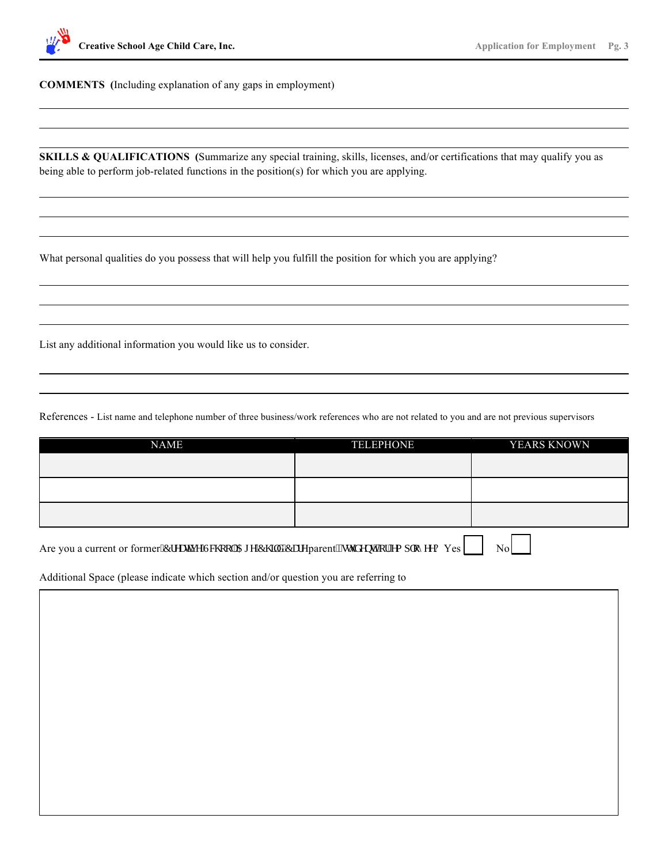

**COMMENTS (**Including explanation of any gaps in employment)

**SKILLS & QUALIFICATIONS** (Summarize any special training, skills, licenses, and/or certifications that may qualify you as being able to perform job-related functions in the position(s) for which you are applying.

What personal qualities do you possess that will help you fulfill the position for which you are applying?

List any additional information you would like us to consider.

References - List name and telephone number of three business/work references who are not related to you and are not previous supervisors

| <b>NAME</b> | <b>TELEPHONE</b> | YEARS KNOWN |
|-------------|------------------|-------------|
|             |                  |             |
|             |                  |             |
|             |                  |             |
|             |                  |             |
|             |                  |             |
|             |                  |             |

Are you a current or former"Etgcwkg"Uej qqn'Ci g'Ej knf "Ectg parent."uwxf gpv."qt"go r m { gg? Yes  $\Box$  No

Additional Space (please indicate which section and/or question you are referring to